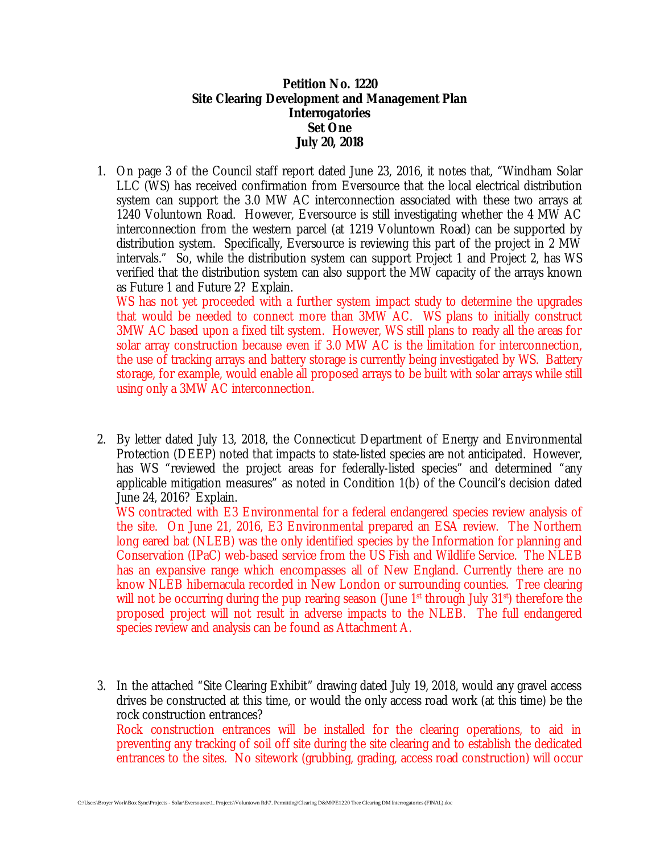**Petition No. 1220 Site Clearing Development and Management Plan Interrogatories Set One July 20, 2018**

1. On page 3 of the Council staff report dated June 23, 2016, it notes that, "Windham Solar LLC (WS) has received confirmation from Eversource that the local electrical distribution system can support the 3.0 MW AC interconnection associated with these two arrays at 1240 Voluntown Road. However, Eversource is still investigating whether the 4 MW AC interconnection from the western parcel (at 1219 Voluntown Road) can be supported by distribution system. Specifically, Eversource is reviewing this part of the project in 2 MW intervals." So, while the distribution system can support Project 1 and Project 2, has WS verified that the distribution system can also support the MW capacity of the arrays known as Future 1 and Future 2? Explain.

WS has not yet proceeded with a further system impact study to determine the upgrades that would be needed to connect more than 3MW AC. WS plans to initially construct 3MW AC based upon a fixed tilt system. However, WS still plans to ready all the areas for solar array construction because even if 3.0 MW AC is the limitation for interconnection, the use of tracking arrays and battery storage is currently being investigated by WS. Battery storage, for example, would enable all proposed arrays to be built with solar arrays while still using only a 3MW AC interconnection.

2. By letter dated July 13, 2018, the Connecticut Department of Energy and Environmental Protection (DEEP) noted that impacts to state-listed species are not anticipated. However, has WS "reviewed the project areas for federally-listed species" and determined "any applicable mitigation measures" as noted in Condition 1(b) of the Council's decision dated June 24, 2016? Explain.

WS contracted with E3 Environmental for a federal endangered species review analysis of the site. On June 21, 2016, E3 Environmental prepared an ESA review. The Northern long eared bat (NLEB) was the only identified species by the Information for planning and Conservation (IPaC) web-based service from the US Fish and Wildlife Service. The NLEB has an expansive range which encompasses all of New England. Currently there are no know NLEB hibernacula recorded in New London or surrounding counties. Tree clearing will not be occurring during the pup rearing season (June  $1<sup>st</sup>$  through July  $31<sup>st</sup>$ ) therefore the proposed project will not result in adverse impacts to the NLEB. The full endangered species review and analysis can be found as Attachment A.

3. In the attached "Site Clearing Exhibit" drawing dated July 19, 2018, would any gravel access drives be constructed at this time, or would the only access road work (at this time) be the rock construction entrances? Rock construction entrances will be installed for the clearing operations, to aid in preventing any tracking of soil off site during the site clearing and to establish the dedicated entrances to the sites. No sitework (grubbing, grading, access road construction) will occur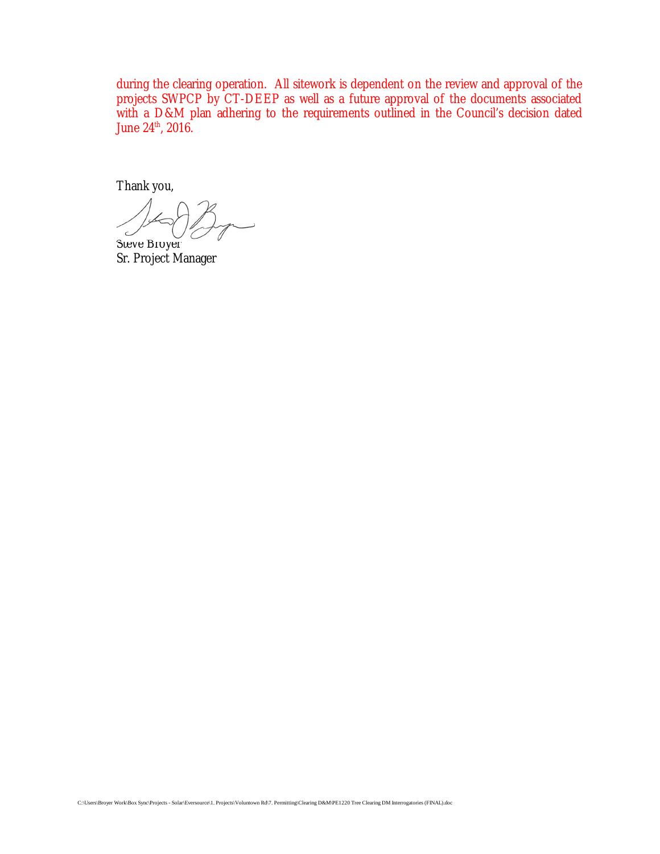during the clearing operation. All sitework is dependent on the review and approval of the projects SWPCP by CT-DEEP as well as a future approval of the documents associated with a D&M plan adhering to the requirements outlined in the Council's decision dated June 24<sup>th</sup>, 2016.

Thank you,

Steve Broyer

Sr. Project Manager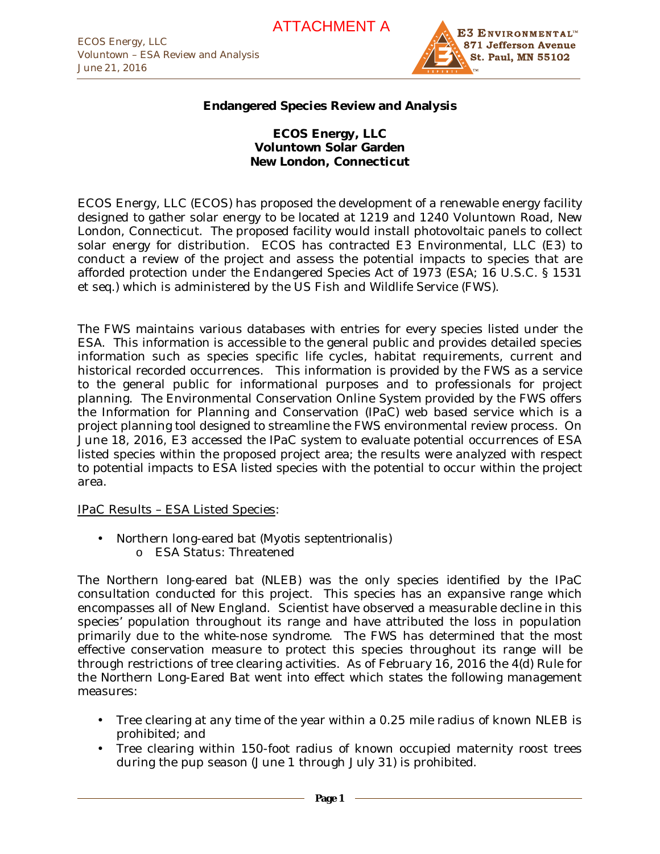

## **Endangered Species Review and Analysis**

**ECOS Energy, LLC Voluntown Solar Garden New London, Connecticut**

ECOS Energy, LLC (ECOS) has proposed the development of a renewable energy facility designed to gather solar energy to be located at 1219 and 1240 Voluntown Road, New London, Connecticut. The proposed facility would install photovoltaic panels to collect solar energy for distribution. ECOS has contracted E3 Environmental, LLC (E3) to conduct a review of the project and assess the potential impacts to species that are afforded protection under the Endangered Species Act of 1973 (ESA; 16 U.S.C. § 1531 et seq.) which is administered by the US Fish and Wildlife Service (FWS).

The FWS maintains various databases with entries for every species listed under the ESA. This information is accessible to the general public and provides detailed species information such as species specific life cycles, habitat requirements, current and historical recorded occurrences. This information is provided by the FWS as a service to the general public for informational purposes and to professionals for project planning. The Environmental Conservation Online System provided by the FWS offers the Information for Planning and Conservation (IPaC) web based service which is a project planning tool designed to streamline the FWS environmental review process. On June 18, 2016, E3 accessed the IPaC system to evaluate potential occurrences of ESA listed species within the proposed project area; the results were analyzed with respect to potential impacts to ESA listed species with the potential to occur within the project area.

IPaC Results – ESA Listed Species:

- Northern long-eared bat (*Myotis septentrionalis*)
	- o ESA Status: Threatened

The Northern long-eared bat (NLEB) was the only species identified by the IPaC consultation conducted for this project. This species has an expansive range which encompasses all of New England. Scientist have observed a measurable decline in this species' population throughout its range and have attributed the loss in population primarily due to the white-nose syndrome. The FWS has determined that the most effective conservation measure to protect this species throughout its range will be through restrictions of tree clearing activities. As of February 16, 2016 the 4(d) Rule for the Northern Long-Eared Bat went into effect which states the following management measures:

- Tree clearing at any time of the year within a 0.25 mile radius of known NLEB is prohibited; and
- Tree clearing within 150-foot radius of known occupied maternity roost trees during the pup season (June 1 through July 31) is prohibited.